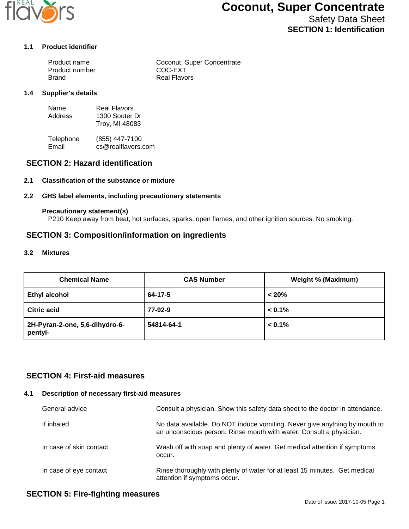

# **Coconut, Super Concentrate**

Safety Data Sheet **SECTION 1: Identification**

#### **1.1 Product identifier**

| Product name   | Coconut, Super Concentrate |
|----------------|----------------------------|
| Product number | COC-EXT                    |
| Brand          | Real Flavors               |

#### **1.4 Supplier's details**

| Name    | Real Flavors   |
|---------|----------------|
| Address | 1300 Souter Dr |
|         | Troy, MI 48083 |

Telephone (855) 447-7100<br>Email cs@realflavors. cs@realflavors.com

## **SECTION 2: Hazard identification**

#### **2.1 Classification of the substance or mixture**

#### **2.2 GHS label elements, including precautionary statements**

#### **Precautionary statement(s)**

P210 Keep away from heat, hot surfaces, sparks, open flames, and other ignition sources. No smoking.

## **SECTION 3: Composition/information on ingredients**

#### **3.2 Mixtures**

| <b>Chemical Name</b>                      | <b>CAS Number</b> | <b>Weight % (Maximum)</b> |
|-------------------------------------------|-------------------|---------------------------|
| <b>Ethyl alcohol</b>                      | 64-17-5           | < 20%                     |
| <b>Citric acid</b>                        | 77-92-9           | $< 0.1\%$                 |
| 2H-Pyran-2-one, 5,6-dihydro-6-<br>pentyl- | 54814-64-1        | $< 0.1\%$                 |

## **SECTION 4: First-aid measures**

#### **4.1 Description of necessary first-aid measures**

| General advice          | Consult a physician. Show this safety data sheet to the doctor in attendance.                                                                     |
|-------------------------|---------------------------------------------------------------------------------------------------------------------------------------------------|
| If inhaled              | No data available. Do NOT induce vomiting. Never give anything by mouth to<br>an unconscious person. Rinse mouth with water. Consult a physician. |
| In case of skin contact | Wash off with soap and plenty of water. Get medical attention if symptoms<br>occur.                                                               |
| In case of eye contact  | Rinse thoroughly with plenty of water for at least 15 minutes. Get medical<br>attention if symptoms occur.                                        |

# **SECTION 5: Fire-fighting measures**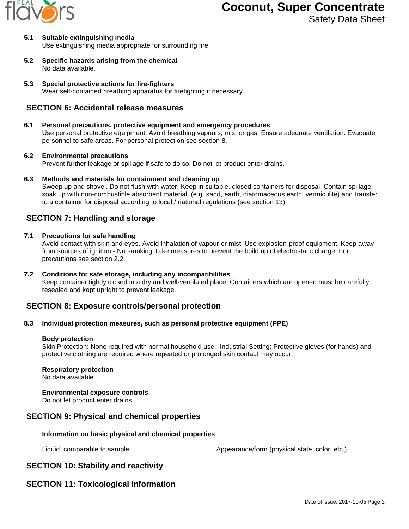

# **Coconut, Super Concentrate**

Safety Data Sheet

#### **5.1 Suitable extinguishing media** Use extinguishing media appropriate for surrounding fire.

- **5.2 Specific hazards arising from the chemical** No data available.
- **5.3 Special protective actions for fire-fighters** Wear self-contained breathing apparatus for firefighting if necessary.

# **SECTION 6: Accidental release measures**

## **6.1 Personal precautions, protective equipment and emergency procedures**

Use personal protective equipment. Avoid breathing vapours, mist or gas. Ensure adequate ventilation. Evacuate personnel to safe areas. For personal protection see section 8.

## **6.2 Environmental precautions**

Prevent further leakage or spillage if safe to do so. Do not let product enter drains.

**6.3 Methods and materials for containment and cleaning up**

Sweep up and shovel. Do not flush with water. Keep in suitable, closed containers for disposal. Contain spillage, soak up with non-combustible absorbent material, (e.g. sand, earth, diatomaceous earth, vermiculite) and transfer to a container for disposal according to local / national regulations (see section 13)

# **SECTION 7: Handling and storage**

## **7.1 Precautions for safe handling**

Avoid contact with skin and eyes. Avoid inhalation of vapour or mist. Use explosion-proof equipment. Keep away from sources of ignition - No smoking.Take measures to prevent the build up of electrostatic charge. For precautions see section 2.2.

**7.2 Conditions for safe storage, including any incompatibilities** Keep container tightly closed in a dry and well-ventilated place. Containers which are opened must be carefully resealed and kept upright to prevent leakage.

# **SECTION 8: Exposure controls/personal protection**

## **8.3 Individual protection measures, such as personal protective equipment (PPE)**

## **Body protection**

Skin Protection: None required with normal household use. Industrial Setting: Protective gloves (for hands) and protective clothing are required where repeated or prolonged skin contact may occur.

## **Respiratory protection**

No data available.

## **Environmental exposure controls**

Do not let product enter drains.

# **SECTION 9: Physical and chemical properties**

## **Information on basic physical and chemical properties**

Liquid, comparable to sample  $\blacksquare$  Appearance/form (physical state, color, etc.)

# **SECTION 10: Stability and reactivity**

# **SECTION 11: Toxicological information**